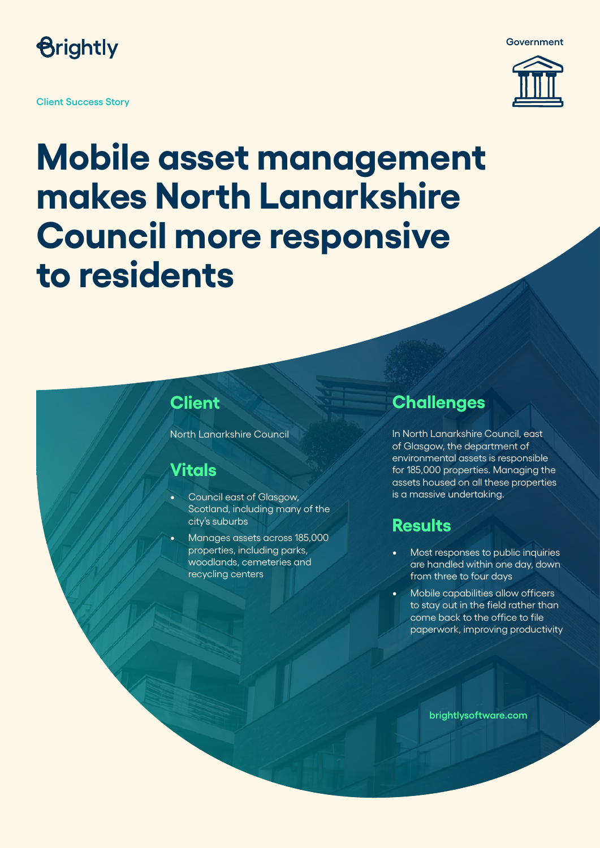

**Client Success Story**



**Government**

## **Mobile asset management makes North Lanarkshire Council more responsive to residents**

#### **Client**

North Lanarkshire Council

#### **Vitals**

- Council east of Glasgow, Scotland, including many of the city's suburbs
- Manages assets across 185,000 properties, including parks, woodlands, cemeteries and recycling centers

#### **Challenges**

In North Lanarkshire Council, east of Glasgow, the department of environmental assets is responsible for 185,000 properties. Managing the assets housed on all these properties is a massive undertaking.

#### **Results**

- Most responses to public inquiries are handled within one day, down from three to four days
- Mobile capabilities allow officers to stay out in the field rather than come back to the office to file paperwork, improving productivity

**brightlysoftware.com**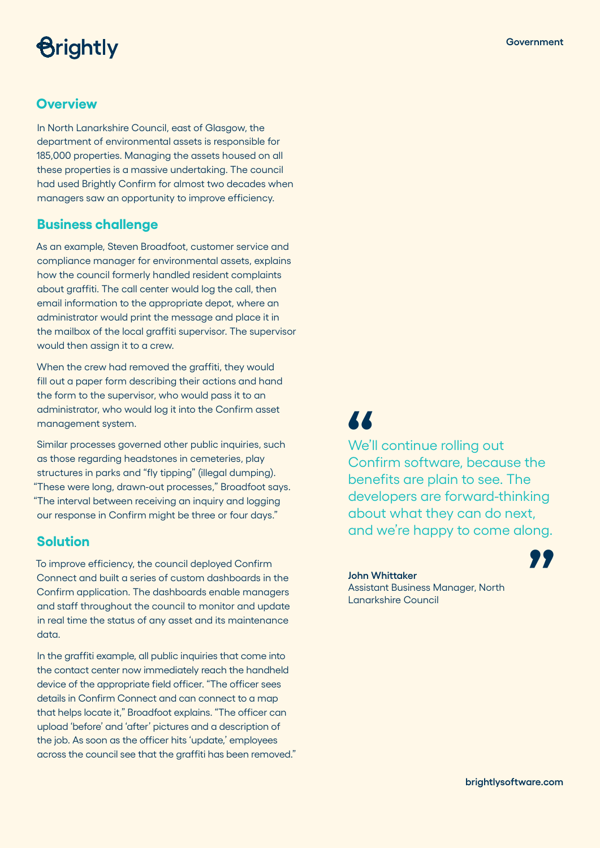## *<u>Brightly</u>*

#### **Overview**

In North Lanarkshire Council, east of Glasgow, the department of environmental assets is responsible for 185,000 properties. Managing the assets housed on all these properties is a massive undertaking. The council had used Brightly Confirm for almost two decades when managers saw an opportunity to improve efficiency.

#### **Business challenge**

As an example, Steven Broadfoot, customer service and compliance manager for environmental assets, explains how the council formerly handled resident complaints about graffiti. The call center would log the call, then email information to the appropriate depot, where an administrator would print the message and place it in the mailbox of the local graffiti supervisor. The supervisor would then assign it to a crew.

When the crew had removed the graffiti, they would fill out a paper form describing their actions and hand the form to the supervisor, who would pass it to an administrator, who would log it into the Confirm asset management system.

Similar processes governed other public inquiries, such as those regarding headstones in cemeteries, play structures in parks and "fly tipping" (illegal dumping). "These were long, drawn-out processes," Broadfoot says. "The interval between receiving an inquiry and logging our response in Confirm might be three or four days."

#### **Solution**

To improve efficiency, the council deployed Confirm Connect and built a series of custom dashboards in the Confirm application. The dashboards enable managers and staff throughout the council to monitor and update in real time the status of any asset and its maintenance data.

In the graffiti example, all public inquiries that come into the contact center now immediately reach the handheld device of the appropriate field officer. "The officer sees details in Confirm Connect and can connect to a map that helps locate it," Broadfoot explains. "The officer can upload 'before' and 'after' pictures and a description of the job. As soon as the officer hits 'update,' employees across the council see that the graffiti has been removed."

## **"**

We'll continue rolling out Confirm software, because the benefits are plain to see. The developers are forward-thinking about what they can do next, and we're happy to come along. **"**

**John Whittaker** Assistant Business Manager, North Lanarkshire Council